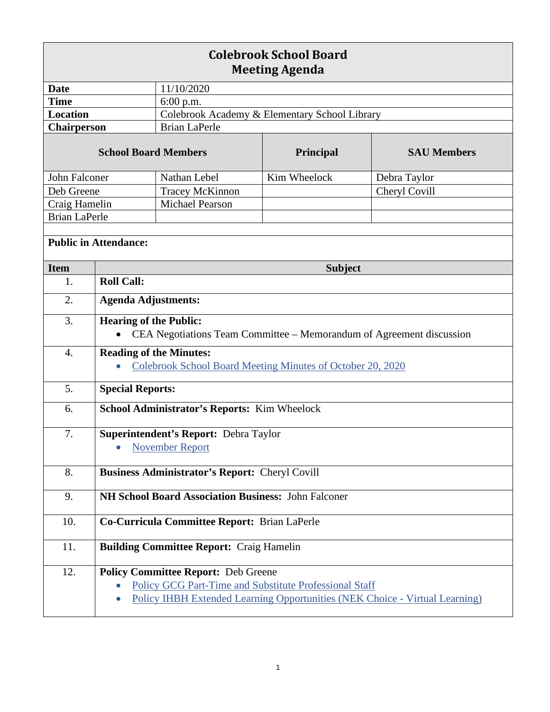| <b>Colebrook School Board</b><br><b>Meeting Agenda</b> |                                                                                                                                                                                                   |                                               |                |                    |  |
|--------------------------------------------------------|---------------------------------------------------------------------------------------------------------------------------------------------------------------------------------------------------|-----------------------------------------------|----------------|--------------------|--|
| Date                                                   |                                                                                                                                                                                                   | 11/10/2020                                    |                |                    |  |
| <b>Time</b>                                            |                                                                                                                                                                                                   | 6:00 p.m.                                     |                |                    |  |
| <b>Location</b>                                        |                                                                                                                                                                                                   | Colebrook Academy & Elementary School Library |                |                    |  |
| <b>Chairperson</b>                                     |                                                                                                                                                                                                   | <b>Brian LaPerle</b>                          |                |                    |  |
| <b>School Board Members</b>                            |                                                                                                                                                                                                   |                                               | Principal      | <b>SAU Members</b> |  |
| John Falconer                                          |                                                                                                                                                                                                   | Nathan Lebel                                  | Kim Wheelock   | Debra Taylor       |  |
| Deb Greene                                             |                                                                                                                                                                                                   | <b>Tracey McKinnon</b>                        |                | Cheryl Covill      |  |
| Craig Hamelin                                          |                                                                                                                                                                                                   | <b>Michael Pearson</b>                        |                |                    |  |
| <b>Brian LaPerle</b>                                   |                                                                                                                                                                                                   |                                               |                |                    |  |
| <b>Public in Attendance:</b>                           |                                                                                                                                                                                                   |                                               |                |                    |  |
| <b>Item</b>                                            |                                                                                                                                                                                                   |                                               | <b>Subject</b> |                    |  |
| 1.                                                     | <b>Roll Call:</b>                                                                                                                                                                                 |                                               |                |                    |  |
| 2.                                                     | <b>Agenda Adjustments:</b>                                                                                                                                                                        |                                               |                |                    |  |
| 3.                                                     | <b>Hearing of the Public:</b><br>CEA Negotiations Team Committee - Memorandum of Agreement discussion                                                                                             |                                               |                |                    |  |
| $\overline{4}$ .                                       | <b>Reading of the Minutes:</b><br>Colebrook School Board Meeting Minutes of October 20, 2020                                                                                                      |                                               |                |                    |  |
| 5.                                                     | <b>Special Reports:</b>                                                                                                                                                                           |                                               |                |                    |  |
| 6.                                                     | School Administrator's Reports: Kim Wheelock                                                                                                                                                      |                                               |                |                    |  |
| 7.                                                     | <b>Superintendent's Report: Debra Taylor</b><br><b>November Report</b><br>$\bullet$                                                                                                               |                                               |                |                    |  |
| 8.                                                     | <b>Business Administrator's Report: Cheryl Covill</b>                                                                                                                                             |                                               |                |                    |  |
| 9.                                                     | NH School Board Association Business: John Falconer                                                                                                                                               |                                               |                |                    |  |
| 10.                                                    | Co-Curricula Committee Report: Brian LaPerle                                                                                                                                                      |                                               |                |                    |  |
| 11.                                                    | <b>Building Committee Report: Craig Hamelin</b>                                                                                                                                                   |                                               |                |                    |  |
| 12.                                                    | <b>Policy Committee Report: Deb Greene</b><br><b>Policy GCG Part-Time and Substitute Professional Staff</b><br><b>Policy IHBH Extended Learning Opportunities (NEK Choice - Virtual Learning)</b> |                                               |                |                    |  |